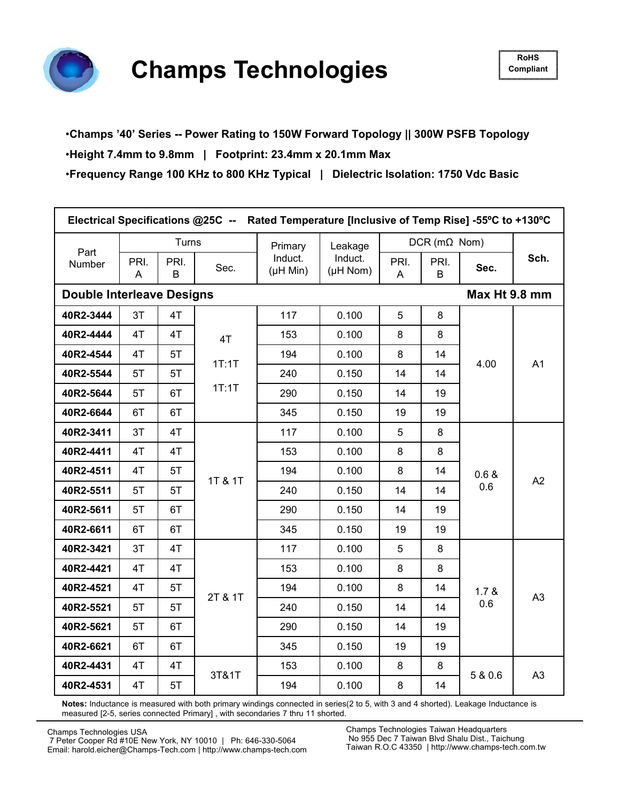

### •**Champs '40' Series -- Power Rating to 150W Forward Topology || 300W PSFB Topology**

### •**Height 7.4mm to 9.8mm | Footprint: 23.4mm x 20.1mm Max**

•**Frequency Range 100 KHz to 800 KHz Typical | Dielectric Isolation: 1750 Vdc Basic**

| Electrical Specifications @25C -- Rated Temperature [Inclusive of Temp Rise] -55°C to +130°C |           |           |                |                                  |                                  |           |                        |               |      |
|----------------------------------------------------------------------------------------------|-----------|-----------|----------------|----------------------------------|----------------------------------|-----------|------------------------|---------------|------|
| Part                                                                                         |           | Turns     |                | Primary                          | Leakage                          |           | $DCR$ (m $\Omega$ Nom) |               |      |
| Number                                                                                       | PRI.<br>A | PRI.<br>B | Sec.           | Induct.<br>$(\mu H \text{ Min})$ | Induct.<br>$(\mu H \text{ Nom})$ | PRI.<br>A | PRI.<br>B              | Sec.          | Sch. |
| <b>Double Interleave Designs</b>                                                             |           |           |                |                                  |                                  |           |                        | Max Ht 9.8 mm |      |
| 40R2-3444                                                                                    | 3T        | 4T        |                | 117                              | 0.100                            | 5         | 8                      |               |      |
| 40R2-4444                                                                                    | 4T        | 4T        | 4T             | 153                              | 0.100                            | 8         | 8                      |               |      |
| 40R2-4544                                                                                    | 4T        | 5T        | 1T:1T<br>1T:1T | 194                              | 0.100                            | 8         | 14                     | 4.00          | A1   |
| 40R2-5544                                                                                    | 5T        | 5T        |                | 240                              | 0.150                            | 14        | 14                     |               |      |
| 40R2-5644                                                                                    | 5T        | 6T        |                | 290                              | 0.150                            | 14        | 19                     |               |      |
| 40R2-6644                                                                                    | 6T        | 6T        |                | 345                              | 0.150                            | 19        | 19                     |               |      |
| 40R2-3411                                                                                    | 3T        | 4T        |                | 117                              | 0.100                            | 5         | 8                      |               |      |
| 40R2-4411                                                                                    | 4T        | 4T        | 1T & 1T        | 153                              | 0.100                            | 8         | 8                      | 0.6 &<br>0.6  | A2   |
| 40R2-4511                                                                                    | 4T        | 5T        |                | 194                              | 0.100                            | 8         | 14                     |               |      |
| 40R2-5511                                                                                    | 5T        | 5T        |                | 240                              | 0.150                            | 14        | 14                     |               |      |
| 40R2-5611                                                                                    | 5T        | 6T        |                | 290                              | 0.150                            | 14        | 19                     |               |      |
| 40R2-6611                                                                                    | 6T        | 6T        |                | 345                              | 0.150                            | 19        | 19                     |               |      |
| 40R2-3421                                                                                    | 3T        | 4T        |                | 117                              | 0.100                            | 5         | 8                      |               |      |
| 40R2-4421                                                                                    | 4T        | 4T        |                | 153                              | 0.100                            | 8         | 8                      |               |      |
| 40R2-4521                                                                                    | 4T        | 5T        | 2T & 1T        | 194                              | 0.100                            | 8         | 14                     | 1.7 &         | A3   |
| 40R2-5521                                                                                    | 5T        | 5T        |                | 240                              | 0.150                            | 14        | 14                     | 0.6           |      |
| 40R2-5621                                                                                    | 5T        | 6T        |                | 290                              | 0.150                            | 14        | 19                     |               |      |
| 40R2-6621                                                                                    | 6T        | 6T        |                | 345                              | 0.150                            | 19        | 19                     |               |      |
| 40R2-4431                                                                                    | 4T        | 4T        | 3T&1T          | 153                              | 0.100                            | 8         | 8                      | 5 & 0.6       | A3   |
| 40R2-4531                                                                                    | 4T        | 5T        |                | 194                              | 0.100                            | 8         | 14                     |               |      |

**Notes:** Inductance is measured with both primary windings connected in series(2 to 5, with 3 and 4 shorted). Leakage Inductance is measured [2-5, series connected Primary] , with secondaries 7 thru 11 shorted.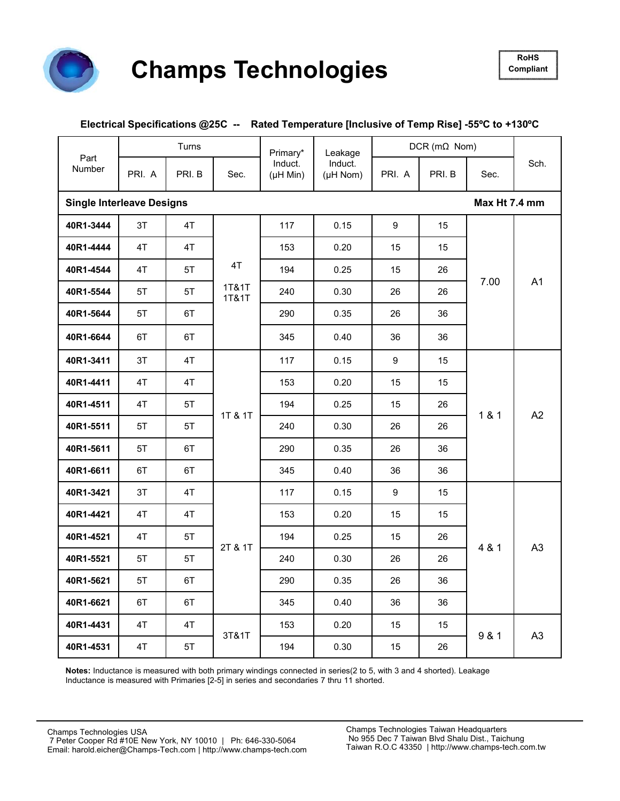

#### **Electrical Specifications @25C -- Rated Temperature [Inclusive of Temp Rise] -55ºC to +130ºC**

|                                  |        | Turns  |                | Primary*                    | Leakage             |        | $DCR$ (m $\Omega$ Nom) |               |                |
|----------------------------------|--------|--------|----------------|-----------------------------|---------------------|--------|------------------------|---------------|----------------|
| Part<br>Number                   | PRI. A | PRI. B | Sec.           | Induct.<br>$(\mu H$ Min $)$ | Induct.<br>(µH Nom) | PRI. A | PRI. B                 | Sec.          | Sch.           |
| <b>Single Interleave Designs</b> |        |        |                |                             |                     |        |                        | Max Ht 7.4 mm |                |
| 40R1-3444                        | 3T     | 4T     |                | 117                         | 0.15                | 9      | 15                     |               |                |
| 40R1-4444                        | 4T     | 4T     |                | 153                         | 0.20                | 15     | 15 <sup>15</sup>       |               |                |
| 40R1-4544                        | 4T     | 5T     | 4T             | 194                         | 0.25                | 15     | 26                     |               |                |
| 40R1-5544                        | 5T     | 5T     | 1T&1T<br>1T&1T | 240                         | 0.30                | 26     | 26                     | 7.00          | A1             |
| 40R1-5644                        | 5T     | 6T     |                | 290                         | 0.35                | 26     | 36                     |               |                |
| 40R1-6644                        | 6T     | 6T     |                | 345                         | 0.40                | 36     | 36                     |               |                |
| 40R1-3411                        | 3T     | 4T     | 1T & 1T        | 117                         | 0.15                | 9      | 15                     | 181           | A2             |
| 40R1-4411                        | 4T     | 4T     |                | 153                         | 0.20                | 15     | 15                     |               |                |
| 40R1-4511                        | 4T     | 5T     |                | 194                         | 0.25                | 15     | 26                     |               |                |
| 40R1-5511                        | 5T     | 5T     |                | 240                         | 0.30                | 26     | 26                     |               |                |
| 40R1-5611                        | 5T     | 6T     |                | 290                         | 0.35                | 26     | 36                     |               |                |
| 40R1-6611                        | 6T     | 6T     |                | 345                         | 0.40                | 36     | 36                     |               |                |
| 40R1-3421                        | 3T     | 4T     |                | 117                         | 0.15                | 9      | 15                     |               |                |
| 40R1-4421                        | 4T     | 4T     |                | 153                         | 0.20                | 15     | 15                     |               |                |
| 40R1-4521                        | 4T     | 5T     |                | 194                         | 0.25                | 15     | 26                     |               |                |
| 40R1-5521                        | 5T     | 5T     | 2T & 1T        | 240                         | 0.30                | 26     | 26                     | 4 & 1         | A3             |
| 40R1-5621                        | 5T     | 6T     |                | 290                         | 0.35                | 26     | 36                     |               |                |
| 40R1-6621                        | 6T     | 6T     |                | 345                         | 0.40                | 36     | 36                     |               |                |
| 40R1-4431                        | 4T     | 4T     |                | 153                         | 0.20                | 15     | 15 <sub>15</sub>       |               |                |
| 40R1-4531                        | 4T     | 5T     | 3T&1T          | 194                         | 0.30                | 15     | 26                     | 9 & 1         | A <sub>3</sub> |

**Notes:** Inductance is measured with both primary windings connected in series(2 to 5, with 3 and 4 shorted). Leakage Inductance is measured with Primaries [2-5] in series and secondaries 7 thru 11 shorted.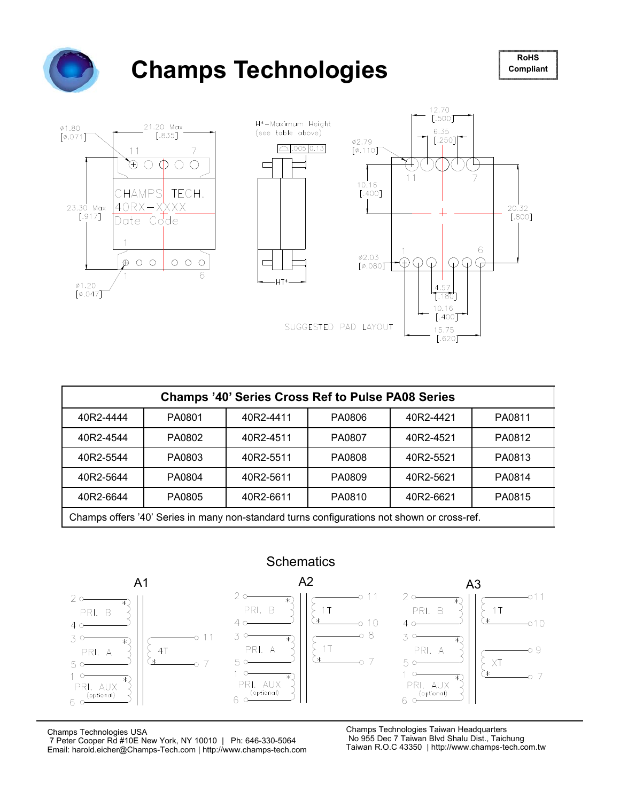

# **Champs Technologies**





| <b>Champs '40' Series Cross Ref to Pulse PA08 Series</b>          |                                                                                             |           |        |           |        |  |  |  |
|-------------------------------------------------------------------|---------------------------------------------------------------------------------------------|-----------|--------|-----------|--------|--|--|--|
| 40R2-4444                                                         | PA0801                                                                                      | 40R2-4411 | PA0806 | 40R2-4421 | PA0811 |  |  |  |
| 40R2-4544                                                         | PA0802                                                                                      | 40R2-4511 | PA0807 | 40R2-4521 | PA0812 |  |  |  |
| 40R2-5544                                                         | PA0803                                                                                      | 40R2-5511 | PA0808 | 40R2-5521 | PA0813 |  |  |  |
| 40R2-5644                                                         | PA0804                                                                                      | 40R2-5611 | PA0809 | 40R2-5621 | PA0814 |  |  |  |
| PA0815<br>40R2-6644<br>PA0805<br>PA0810<br>40R2-6611<br>40R2-6621 |                                                                                             |           |        |           |        |  |  |  |
|                                                                   | Champs offers '40' Series in many non-standard turns configurations not shown or cross-ref. |           |        |           |        |  |  |  |



Champs Technologies USA

7 Peter Cooper Rd #10E New York, NY 10010 | Ph: 646-330-5064 Email: harold.eicher@Champs-Tech.com | http://www.champs-tech.com Champs Technologies Taiwan Headquarters No 955 Dec 7 Taiwan Blvd Shalu Dist., Taichung Taiwan R.O.C 43350 | http://www.champs-tech.com.tw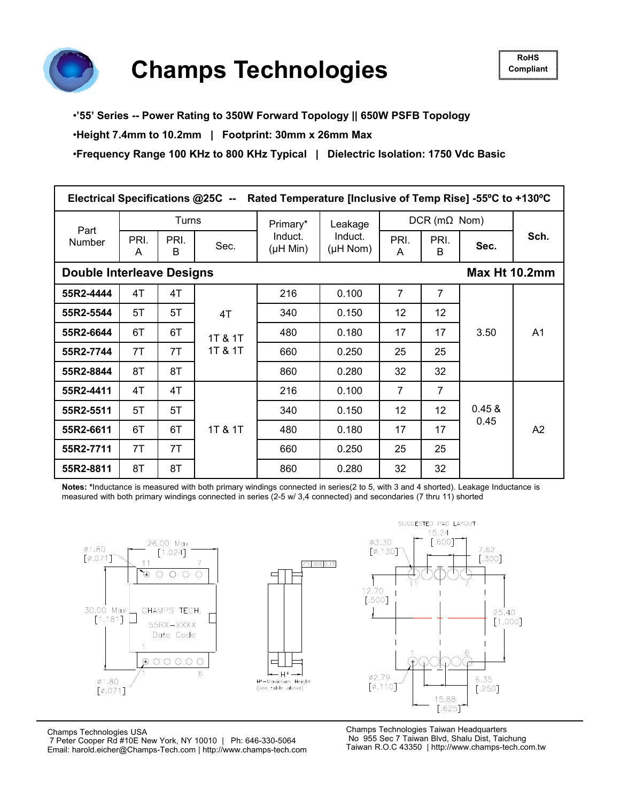

**Champs Technologies** 

#### •**'55' Series -- Power Rating to 350W Forward Topology || 650W PSFB Topology**

•**Height 7.4mm to 10.2mm | Footprint: 30mm x 26mm Max**

•**Frequency Range 100 KHz to 800 KHz Typical | Dielectric Isolation: 1750 Vdc Basic**

| Electrical Specifications @25C --<br>Rated Temperature [Inclusive of Temp Rise] -55°C to +130°C |                                                                    |                                  |                          |           |         |                 |                        |                      |                |  |
|-------------------------------------------------------------------------------------------------|--------------------------------------------------------------------|----------------------------------|--------------------------|-----------|---------|-----------------|------------------------|----------------------|----------------|--|
|                                                                                                 |                                                                    | Turns                            |                          | Primary*  | Leakage |                 | $DCR$ (m $\Omega$ Nom) |                      |                |  |
| Part<br><b>Number</b>                                                                           | Induct.<br>PRI.<br>PRI.<br>Sec.<br>$(\mu H \text{ Min})$<br>B<br>A | Induct.<br>$(\mu H \text{ Nom})$ | PRI.<br>A                | PRI.<br>B | Sec.    | Sch.            |                        |                      |                |  |
| <b>Double Interleave Designs</b>                                                                |                                                                    |                                  |                          |           |         |                 |                        | <b>Max Ht 10.2mm</b> |                |  |
| 55R2-4444                                                                                       | 4T                                                                 | 4T                               |                          | 216       | 0.100   | $\overline{7}$  | $\overline{7}$         | 3.50                 | A <sub>1</sub> |  |
| 55R2-5544                                                                                       | 5T                                                                 | 5T                               | 4T<br>1T & 1T<br>1T & 1T | 340       | 0.150   | 12 <sup>2</sup> | 12                     |                      |                |  |
| 55R2-6644                                                                                       | 6T                                                                 | 6T                               |                          | 480       | 0.180   | 17              | 17                     |                      |                |  |
| 55R2-7744                                                                                       | 7T                                                                 | 7T                               |                          | 660       | 0.250   | 25              | 25                     |                      |                |  |
| 55R2-8844                                                                                       | 8T                                                                 | 8T                               |                          | 860       | 0.280   | 32              | 32                     |                      |                |  |
| 55R2-4411                                                                                       | 4T                                                                 | 4T                               |                          | 216       | 0.100   | 7               | $\overline{7}$         |                      |                |  |
| 55R2-5511                                                                                       | 5T                                                                 | 5T                               |                          | 340       | 0.150   | 12              | 12                     | 0.45 &<br>0.45       | A2             |  |
| 55R2-6611                                                                                       | 6T                                                                 | 6T                               | 1T & 1T                  | 480       | 0.180   | 17              | 17                     |                      |                |  |
| 55R2-7711                                                                                       | 7T                                                                 | 7T                               |                          | 660       | 0.250   | 25              | 25                     |                      |                |  |
| 55R2-8811                                                                                       | 8T                                                                 | 8T                               |                          | 860       | 0.280   | 32              | 32                     |                      |                |  |

**Notes: \***Inductance is measured with both primary windings connected in series(2 to 5, with 3 and 4 shorted). Leakage Inductance is measured with both primary windings connected in series (2-5 w/ 3,4 connected) and secondaries (7 thru 11) shorted



6.35  $[.250]$ 15.88  $[.625]$ Champs Technologies Taiwan Headquarters

SUGGESTED PAD LAYOUT

7.62

 $[.300]$ 

25.40

 $[1.000]$ 

Champs Technologies USA

7 Peter Cooper Rd #10E New York, NY 10010 | Ph: 646-330-5064 Email: harold.eicher@Champs-Tech.com | http://www.champs-tech.com

No 955 Sec 7 Taiwan Blvd, Shalu Dist, Taichung Taiwan R.O.C 43350 | http://www.champs-tech.com.tw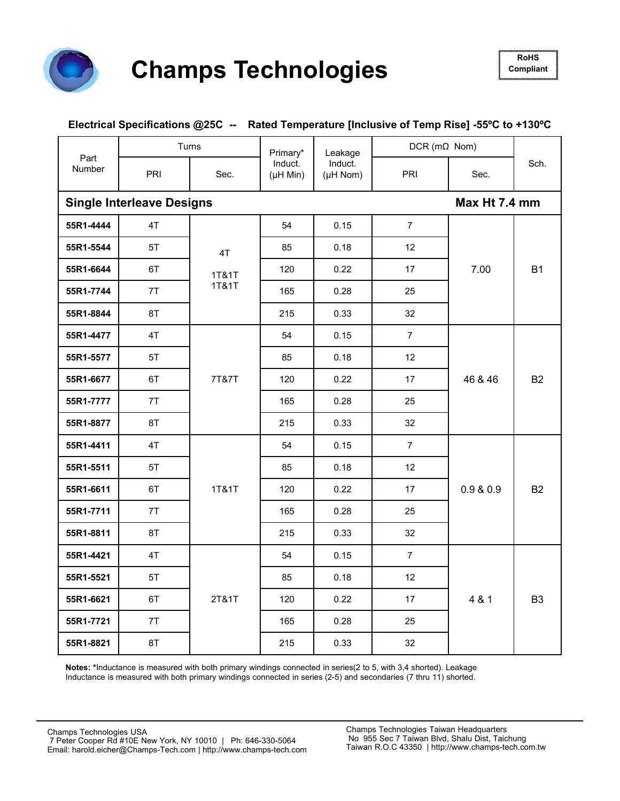

#### **Electrical Specifications @25C -- Rated Temperature [Inclusive of Temp Rise] -55ºC to +130ºC**

| Part<br>Number |                                  | Turns                | Primary*                    | Leakage             | $DCR$ (m $\Omega$ Nom)                                                                                                                                                  |               |                |
|----------------|----------------------------------|----------------------|-----------------------------|---------------------|-------------------------------------------------------------------------------------------------------------------------------------------------------------------------|---------------|----------------|
|                | PRI                              | Sec.                 | Induct.<br>$(\mu H$ Min $)$ | Induct.<br>(µH Nom) | PRI<br>$\overline{7}$<br>0.15<br>0.18<br>12<br>0.22<br>17<br>0.28<br>25<br>0.33<br>32<br>$\overline{7}$<br>0.15<br>0.18<br>12<br>0.22<br>17<br>0.28<br>25<br>0.33<br>32 | Sec.          | Sch.           |
|                | <b>Single Interleave Designs</b> |                      |                             |                     |                                                                                                                                                                         | Max Ht 7.4 mm |                |
| 55R1-4444      | 4T                               | 4T<br>1T&1T<br>1T&1T | 54                          |                     |                                                                                                                                                                         |               |                |
| 55R1-5544      | 5T                               |                      | 85                          |                     |                                                                                                                                                                         |               |                |
| 55R1-6644      | 6T                               |                      | 120                         |                     |                                                                                                                                                                         | 7.00          | <b>B1</b>      |
| 55R1-7744      | 7T                               |                      | 165                         |                     |                                                                                                                                                                         |               |                |
| 55R1-8844      | 8T                               |                      | 215                         |                     |                                                                                                                                                                         |               |                |
| 55R1-4477      | 4T                               | 7T&7T                | 54                          |                     |                                                                                                                                                                         | 46 & 46       | <b>B2</b>      |
| 55R1-5577      | 5T                               |                      | 85                          |                     |                                                                                                                                                                         |               |                |
| 55R1-6677      | 6T                               |                      | 120                         |                     |                                                                                                                                                                         |               |                |
| 55R1-7777      | 7T                               |                      | 165                         |                     |                                                                                                                                                                         |               |                |
| 55R1-8877      | 8T                               |                      | 215                         |                     |                                                                                                                                                                         |               |                |
| 55R1-4411      | 4T                               |                      | 54                          | 0.15                | $\overline{7}$                                                                                                                                                          | 0.9 & 0.9     | <b>B2</b>      |
| 55R1-5511      | 5T                               |                      | 85                          | 0.18                | 12                                                                                                                                                                      |               |                |
| 55R1-6611      | 6T                               | 1T&1T                | 120                         | 0.22                | 17                                                                                                                                                                      |               |                |
| 55R1-7711      | 7T                               |                      | 165                         | 0.28                | 25                                                                                                                                                                      |               |                |
| 55R1-8811      | 8T                               |                      | 215                         | 0.33                | 32                                                                                                                                                                      |               |                |
| 55R1-4421      | 4T                               |                      | 54                          | 0.15                | $\overline{7}$                                                                                                                                                          |               |                |
| 55R1-5521      | 5T                               |                      | 85                          | 0.18                | 12                                                                                                                                                                      | 4 & 1         |                |
| 55R1-6621      | 6T                               | 2T&1T                | 120                         | 0.22                | 17                                                                                                                                                                      |               | B <sub>3</sub> |
| 55R1-7721      | 7T                               |                      | 165                         | 0.28                | 25                                                                                                                                                                      |               |                |
| 55R1-8821      | 8T                               |                      | 215                         | 0.33                | 32                                                                                                                                                                      |               |                |

**Notes: \***Inductance is measured with both primary windings connected in series(2 to 5, with 3,4 shorted). Leakage Inductance is measured with both primary windings connected in series (2-5) and secondaries (7 thru 11) shorted.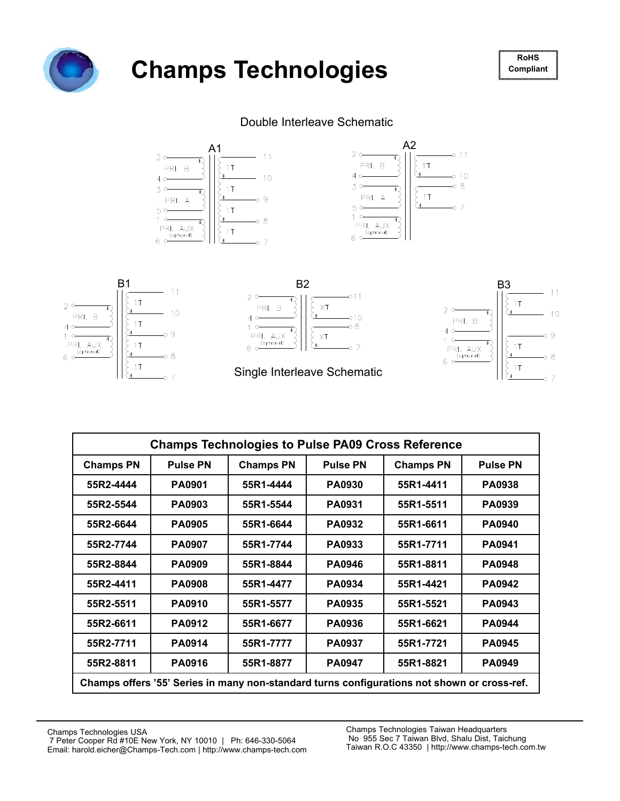

# Champs Technologies **Roder** Rochs

**Compliant**

#### Double Interleave Schematic



| <b>Champs Technologies to Pulse PA09 Cross Reference</b> |                                                                                               |           |               |                                                                                             |               |  |  |  |
|----------------------------------------------------------|-----------------------------------------------------------------------------------------------|-----------|---------------|---------------------------------------------------------------------------------------------|---------------|--|--|--|
| <b>Champs PN</b>                                         | <b>Pulse PN</b><br><b>Pulse PN</b><br><b>Pulse PN</b><br><b>Champs PN</b><br><b>Champs PN</b> |           |               |                                                                                             |               |  |  |  |
| 55R2-4444                                                | <b>PA0901</b>                                                                                 | 55R1-4444 | <b>PA0930</b> | 55R1-4411                                                                                   | <b>PA0938</b> |  |  |  |
| 55R2-5544                                                | <b>PA0903</b>                                                                                 | 55R1-5544 | <b>PA0931</b> | 55R1-5511                                                                                   | <b>PA0939</b> |  |  |  |
| 55R2-6644                                                | <b>PA0905</b>                                                                                 | 55R1-6644 | <b>PA0932</b> | 55R1-6611                                                                                   | <b>PA0940</b> |  |  |  |
| 55R2-7744                                                | <b>PA0907</b>                                                                                 | 55R1-7744 | PA0933        | 55R1-7711                                                                                   | <b>PA0941</b> |  |  |  |
| 55R2-8844                                                | <b>PA0909</b>                                                                                 | 55R1-8844 | <b>PA0946</b> | 55R1-8811                                                                                   | <b>PA0948</b> |  |  |  |
| 55R2-4411                                                | <b>PA0908</b>                                                                                 | 55R1-4477 | <b>PA0934</b> | 55R1-4421                                                                                   | <b>PA0942</b> |  |  |  |
| 55R2-5511                                                | <b>PA0910</b>                                                                                 | 55R1-5577 | <b>PA0935</b> | 55R1-5521                                                                                   | <b>PA0943</b> |  |  |  |
| 55R2-6611                                                | <b>PA0912</b>                                                                                 | 55R1-6677 | <b>PA0936</b> | 55R1-6621                                                                                   | <b>PA0944</b> |  |  |  |
| 55R2-7711                                                | <b>PA0914</b>                                                                                 | 55R1-7777 | <b>PA0937</b> | 55R1-7721                                                                                   | <b>PA0945</b> |  |  |  |
| 55R2-8811                                                | <b>PA0916</b>                                                                                 | 55R1-8877 | <b>PA0947</b> | 55R1-8821                                                                                   | <b>PA0949</b> |  |  |  |
|                                                          |                                                                                               |           |               | Champs offers '55' Series in many non-standard turns configurations not shown or cross-ref. |               |  |  |  |